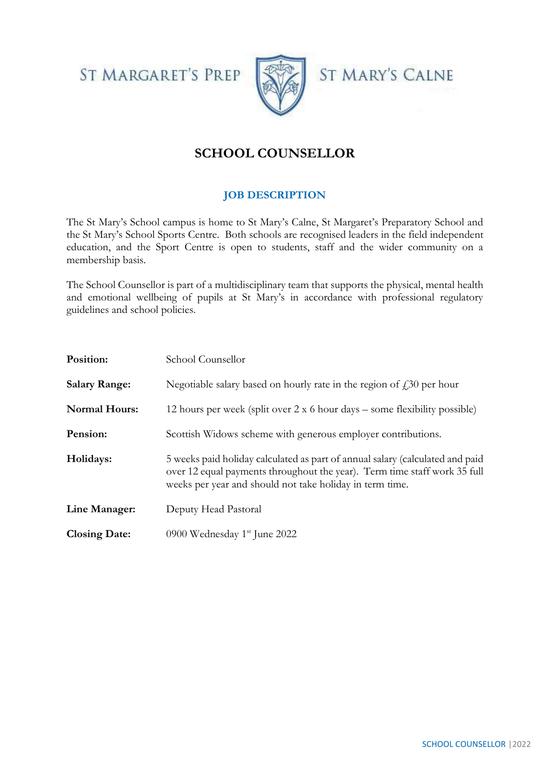ST MARGARET'S PREP





# **SCHOOL COUNSELLOR**

# **JOB DESCRIPTION**

The St Mary's School campus is home to St Mary's Calne, St Margaret's Preparatory School and the St Mary's School Sports Centre. Both schools are recognised leaders in the field independent education, and the Sport Centre is open to students, staff and the wider community on a membership basis.

The School Counsellor is part of a multidisciplinary team that supports the physical, mental health and emotional wellbeing of pupils at St Mary's in accordance with professional regulatory guidelines and school policies.

| Position:            | School Counsellor                                                                                                                                                                                                      |
|----------------------|------------------------------------------------------------------------------------------------------------------------------------------------------------------------------------------------------------------------|
| <b>Salary Range:</b> | Negotiable salary based on hourly rate in the region of $f30$ per hour                                                                                                                                                 |
| <b>Normal Hours:</b> | 12 hours per week (split over $2 \times 6$ hour days – some flexibility possible)                                                                                                                                      |
| Pension:             | Scottish Widows scheme with generous employer contributions.                                                                                                                                                           |
| Holidays:            | 5 weeks paid holiday calculated as part of annual salary (calculated and paid<br>over 12 equal payments throughout the year). Term time staff work 35 full<br>weeks per year and should not take holiday in term time. |
| Line Manager:        | Deputy Head Pastoral                                                                                                                                                                                                   |
| <b>Closing Date:</b> | 0900 Wednesday 1 <sup>st</sup> June 2022                                                                                                                                                                               |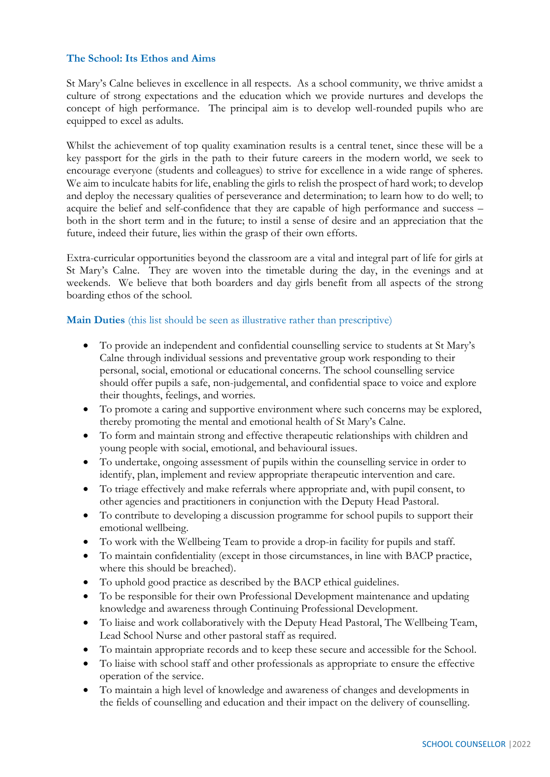## **The School: Its Ethos and Aims**

St Mary's Calne believes in excellence in all respects. As a school community, we thrive amidst a culture of strong expectations and the education which we provide nurtures and develops the concept of high performance. The principal aim is to develop well-rounded pupils who are equipped to excel as adults.

Whilst the achievement of top quality examination results is a central tenet, since these will be a key passport for the girls in the path to their future careers in the modern world, we seek to encourage everyone (students and colleagues) to strive for excellence in a wide range of spheres. We aim to inculcate habits for life, enabling the girls to relish the prospect of hard work; to develop and deploy the necessary qualities of perseverance and determination; to learn how to do well; to acquire the belief and self-confidence that they are capable of high performance and success – both in the short term and in the future; to instil a sense of desire and an appreciation that the future, indeed their future, lies within the grasp of their own efforts.

Extra-curricular opportunities beyond the classroom are a vital and integral part of life for girls at St Mary's Calne. They are woven into the timetable during the day, in the evenings and at weekends. We believe that both boarders and day girls benefit from all aspects of the strong boarding ethos of the school.

## **Main Duties** (this list should be seen as illustrative rather than prescriptive)

- To provide an independent and confidential counselling service to students at St Mary's Calne through individual sessions and preventative group work responding to their personal, social, emotional or educational concerns. The school counselling service should offer pupils a safe, non-judgemental, and confidential space to voice and explore their thoughts, feelings, and worries.
- To promote a caring and supportive environment where such concerns may be explored, thereby promoting the mental and emotional health of St Mary's Calne.
- To form and maintain strong and effective therapeutic relationships with children and young people with social, emotional, and behavioural issues.
- To undertake, ongoing assessment of pupils within the counselling service in order to identify, plan, implement and review appropriate therapeutic intervention and care.
- To triage effectively and make referrals where appropriate and, with pupil consent, to other agencies and practitioners in conjunction with the Deputy Head Pastoral.
- To contribute to developing a discussion programme for school pupils to support their emotional wellbeing.
- To work with the Wellbeing Team to provide a drop-in facility for pupils and staff.
- To maintain confidentiality (except in those circumstances, in line with BACP practice, where this should be breached).
- To uphold good practice as described by the BACP ethical guidelines.
- To be responsible for their own Professional Development maintenance and updating knowledge and awareness through Continuing Professional Development.
- To liaise and work collaboratively with the Deputy Head Pastoral, The Wellbeing Team, Lead School Nurse and other pastoral staff as required.
- To maintain appropriate records and to keep these secure and accessible for the School.
- To liaise with school staff and other professionals as appropriate to ensure the effective operation of the service.
- To maintain a high level of knowledge and awareness of changes and developments in the fields of counselling and education and their impact on the delivery of counselling.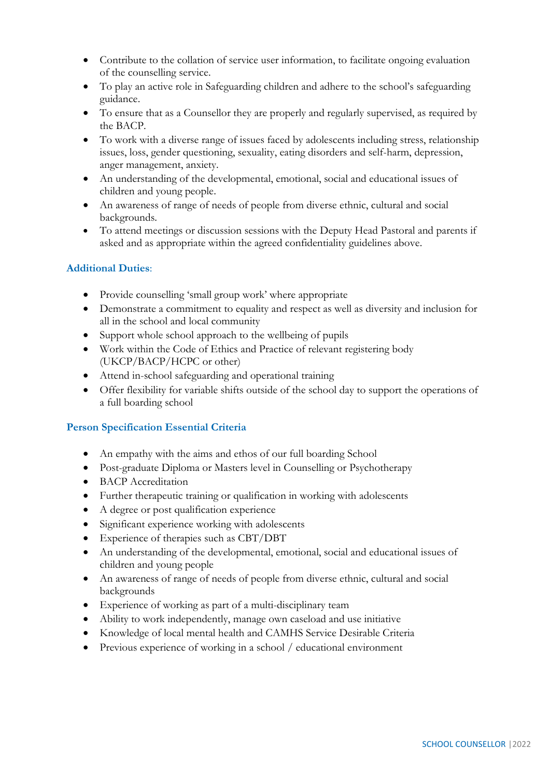- Contribute to the collation of service user information, to facilitate ongoing evaluation of the counselling service.
- To play an active role in Safeguarding children and adhere to the school's safeguarding guidance.
- To ensure that as a Counsellor they are properly and regularly supervised, as required by the BACP.
- To work with a diverse range of issues faced by adolescents including stress, relationship issues, loss, gender questioning, sexuality, eating disorders and self-harm, depression, anger management, anxiety.
- An understanding of the developmental, emotional, social and educational issues of children and young people.
- An awareness of range of needs of people from diverse ethnic, cultural and social backgrounds.
- To attend meetings or discussion sessions with the Deputy Head Pastoral and parents if asked and as appropriate within the agreed confidentiality guidelines above.

# **Additional Duties**:

- Provide counselling 'small group work' where appropriate
- Demonstrate a commitment to equality and respect as well as diversity and inclusion for all in the school and local community
- Support whole school approach to the wellbeing of pupils
- Work within the Code of Ethics and Practice of relevant registering body (UKCP/BACP/HCPC or other)
- Attend in-school safeguarding and operational training
- Offer flexibility for variable shifts outside of the school day to support the operations of a full boarding school

## **Person Specification Essential Criteria**

- An empathy with the aims and ethos of our full boarding School
- Post-graduate Diploma or Masters level in Counselling or Psychotherapy
- BACP Accreditation
- Further therapeutic training or qualification in working with adolescents
- A degree or post qualification experience
- Significant experience working with adolescents
- Experience of therapies such as CBT/DBT
- An understanding of the developmental, emotional, social and educational issues of children and young people
- An awareness of range of needs of people from diverse ethnic, cultural and social backgrounds
- Experience of working as part of a multi-disciplinary team
- Ability to work independently, manage own caseload and use initiative
- Knowledge of local mental health and CAMHS Service Desirable Criteria
- Previous experience of working in a school / educational environment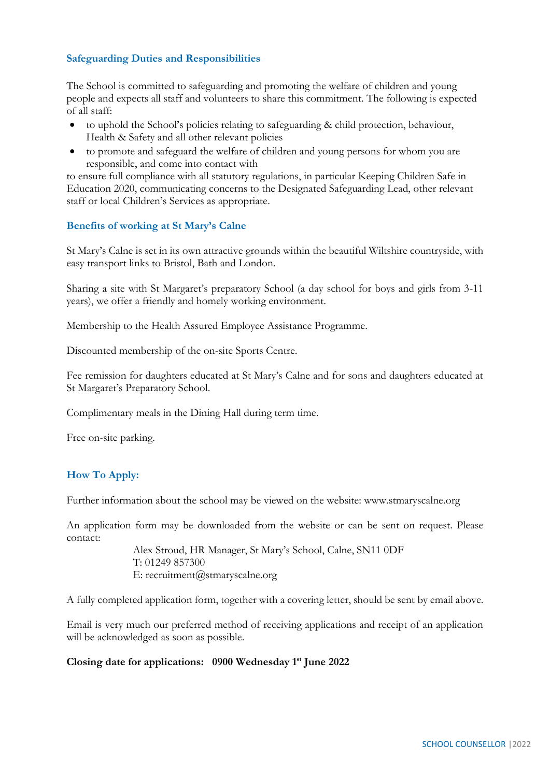## **Safeguarding Duties and Responsibilities**

The School is committed to safeguarding and promoting the welfare of children and young people and expects all staff and volunteers to share this commitment. The following is expected of all staff:

- to uphold the School's policies relating to safeguarding & child protection, behaviour, Health & Safety and all other relevant policies
- to promote and safeguard the welfare of children and young persons for whom you are responsible, and come into contact with

to ensure full compliance with all statutory regulations, in particular Keeping Children Safe in Education 2020, communicating concerns to the Designated Safeguarding Lead, other relevant staff or local Children's Services as appropriate.

# **Benefits of working at St Mary's Calne**

St Mary's Calne is set in its own attractive grounds within the beautiful Wiltshire countryside, with easy transport links to Bristol, Bath and London.

Sharing a site with St Margaret's preparatory School (a day school for boys and girls from 3-11 years), we offer a friendly and homely working environment.

Membership to the Health Assured Employee Assistance Programme.

Discounted membership of the on-site Sports Centre.

Fee remission for daughters educated at St Mary's Calne and for sons and daughters educated at St Margaret's Preparatory School.

Complimentary meals in the Dining Hall during term time.

Free on-site parking.

## **How To Apply:**

Further information about the school may be viewed on the website: www.stmaryscalne.org

An application form may be downloaded from the website or can be sent on request. Please contact:

> Alex Stroud, HR Manager, St Mary's School, Calne, SN11 0DF T: 01249 857300 E: recruitment@stmaryscalne.org

A fully completed application form, together with a covering letter, should be sent by email above.

Email is very much our preferred method of receiving applications and receipt of an application will be acknowledged as soon as possible.

## **Closing date for applications: 0900 Wednesday 1st June 2022**